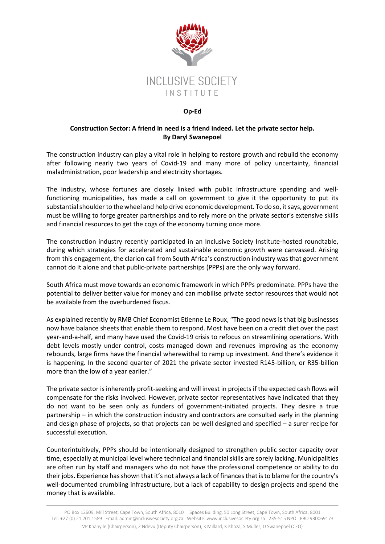

## **Op-Ed**

## **Construction Sector: A friend in need is a friend indeed. Let the private sector help. By Daryl Swanepoel**

The construction industry can play a vital role in helping to restore growth and rebuild the economy after following nearly two years of Covid-19 and many more of policy uncertainty, financial maladministration, poor leadership and electricity shortages.

The industry, whose fortunes are closely linked with public infrastructure spending and wellfunctioning municipalities, has made a call on government to give it the opportunity to put its substantial shoulder to the wheel and help drive economic development. To do so, it says, government must be willing to forge greater partnerships and to rely more on the private sector's extensive skills and financial resources to get the cogs of the economy turning once more.

The construction industry recently participated in an Inclusive Society Institute-hosted roundtable, during which strategies for accelerated and sustainable economic growth were canvassed. Arising from this engagement, the clarion call from South Africa's construction industry was that government cannot do it alone and that public-private partnerships (PPPs) are the only way forward.

South Africa must move towards an economic framework in which PPPs predominate. PPPs have the potential to deliver better value for money and can mobilise private sector resources that would not be available from the overburdened fiscus.

As explained recently by RMB Chief Economist Etienne Le Roux, "The good news is that big businesses now have balance sheets that enable them to respond. Most have been on a credit diet over the past year-and-a-half, and many have used the Covid-19 crisis to refocus on streamlining operations. With debt levels mostly under control, costs managed down and revenues improving as the economy rebounds, large firms have the financial wherewithal to ramp up investment. And there's evidence it is happening. In the second quarter of 2021 the private sector invested R145-billion, or R35-billion more than the low of a year earlier."

The private sector is inherently profit-seeking and will invest in projects if the expected cash flows will compensate for the risks involved. However, private sector representatives have indicated that they do not want to be seen only as funders of government-initiated projects. They desire a true partnership – in which the construction industry and contractors are consulted early in the planning and design phase of projects, so that projects can be well designed and specified – a surer recipe for successful execution.

Counterintuitively, PPPs should be intentionally designed to strengthen public sector capacity over time, especially at municipal level where technical and financial skills are sorely lacking. Municipalities are often run by staff and managers who do not have the professional competence or ability to do their jobs. Experience has shown that it's not always a lack of finances that is to blame for the country's well-documented crumbling infrastructure, but a lack of capability to design projects and spend the money that is available.